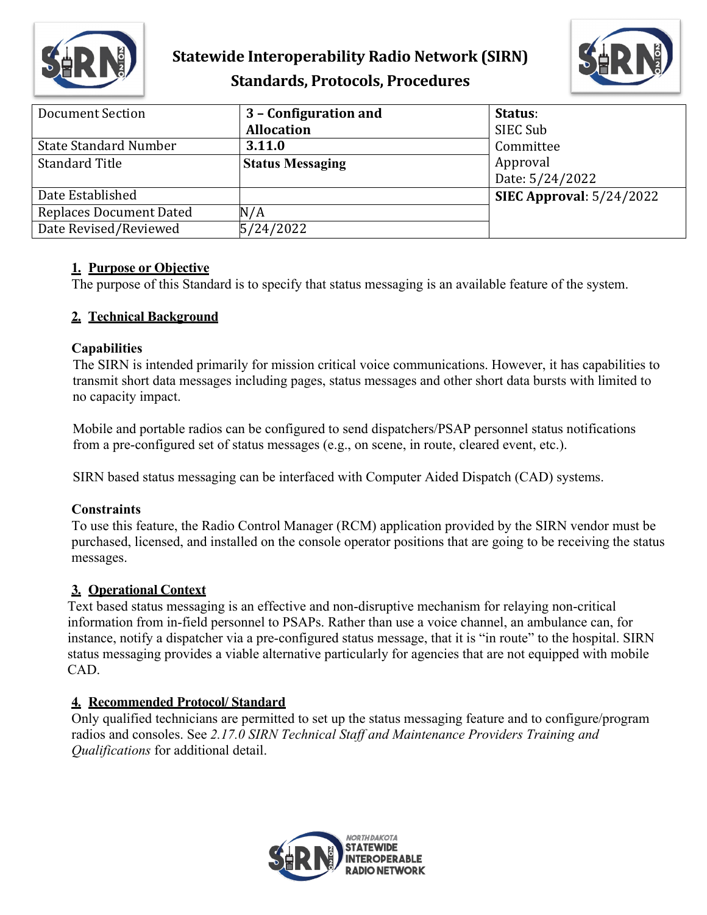

# **Statewide Interoperability Radio Network (SIRN) Standards, Protocols, Procedures**



| <b>Document Section</b>        | 3 - Configuration and   | Status:                    |
|--------------------------------|-------------------------|----------------------------|
|                                | <b>Allocation</b>       | SIEC Sub                   |
| <b>State Standard Number</b>   | 3.11.0                  | Committee                  |
| <b>Standard Title</b>          | <b>Status Messaging</b> | Approval                   |
|                                |                         | Date: 5/24/2022            |
| Date Established               |                         | SIEC Approval: $5/24/2022$ |
| <b>Replaces Document Dated</b> | N/A                     |                            |
| Date Revised/Reviewed          | 5/24/2022               |                            |

#### **1. Purpose or Objective**

The purpose of this Standard is to specify that status messaging is an available feature of the system.

#### **2. Technical Background**

#### **Capabilities**

The SIRN is intended primarily for mission critical voice communications. However, it has capabilities to transmit short data messages including pages, status messages and other short data bursts with limited to no capacity impact.

Mobile and portable radios can be configured to send dispatchers/PSAP personnel status notifications from a pre-configured set of status messages (e.g., on scene, in route, cleared event, etc.).

SIRN based status messaging can be interfaced with Computer Aided Dispatch (CAD) systems.

### **Constraints**

To use this feature, the Radio Control Manager (RCM) application provided by the SIRN vendor must be purchased, licensed, and installed on the console operator positions that are going to be receiving the status messages.

### **3. Operational Context**

Text based status messaging is an effective and non-disruptive mechanism for relaying non-critical information from in-field personnel to PSAPs. Rather than use a voice channel, an ambulance can, for instance, notify a dispatcher via a pre-configured status message, that it is "in route" to the hospital. SIRN status messaging provides a viable alternative particularly for agencies that are not equipped with mobile CAD.

### **4. Recommended Protocol/ Standard**

Only qualified technicians are permitted to set up the status messaging feature and to configure/program radios and consoles. See *2.17.0 SIRN Technical Staff and Maintenance Providers Training and Qualifications* for additional detail.